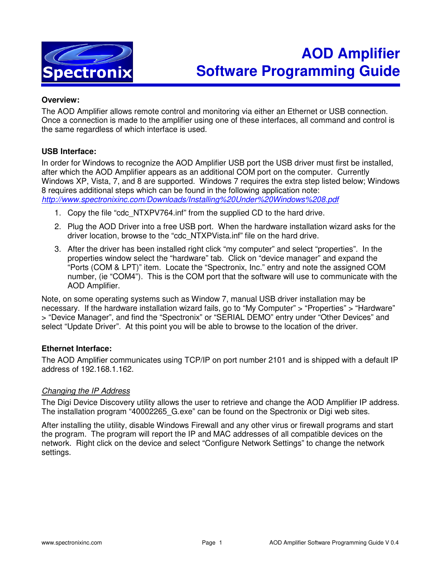

# **AOD Amplifier Software Programming Guide**

#### **Overview:**

The AOD Amplifier allows remote control and monitoring via either an Ethernet or USB connection. Once a connection is made to the amplifier using one of these interfaces, all command and control is the same regardless of which interface is used.

#### **USB Interface:**

In order for Windows to recognize the AOD Amplifier USB port the USB driver must first be installed, after which the AOD Amplifier appears as an additional COM port on the computer. Currently Windows XP, Vista, 7, and 8 are supported. Windows 7 requires the extra step listed below; Windows 8 requires additional steps which can be found in the following application note: http://www.spectronixinc.com/Downloads/Installing%20Under%20Windows%208.pdf

- 1. Copy the file "cdc\_NTXPV764.inf" from the supplied CD to the hard drive.
- 2. Plug the AOD Driver into a free USB port. When the hardware installation wizard asks for the driver location, browse to the "cdc\_NTXPVista.inf" file on the hard drive.
- 3. After the driver has been installed right click "my computer" and select "properties". In the properties window select the "hardware" tab. Click on "device manager" and expand the "Ports (COM & LPT)" item. Locate the "Spectronix, Inc." entry and note the assigned COM number, (ie "COM4"). This is the COM port that the software will use to communicate with the AOD Amplifier.

Note, on some operating systems such as Window 7, manual USB driver installation may be necessary. If the hardware installation wizard fails, go to "My Computer" > "Properties" > "Hardware" > "Device Manager", and find the "Spectronix" or "SERIAL DEMO" entry under "Other Devices" and select "Update Driver". At this point you will be able to browse to the location of the driver.

## **Ethernet Interface:**

The AOD Amplifier communicates using TCP/IP on port number 2101 and is shipped with a default IP address of 192.168.1.162.

#### Changing the IP Address

The Digi Device Discovery utility allows the user to retrieve and change the AOD Amplifier IP address. The installation program "40002265\_G.exe" can be found on the Spectronix or Digi web sites.

After installing the utility, disable Windows Firewall and any other virus or firewall programs and start the program. The program will report the IP and MAC addresses of all compatible devices on the network. Right click on the device and select "Configure Network Settings" to change the network settings.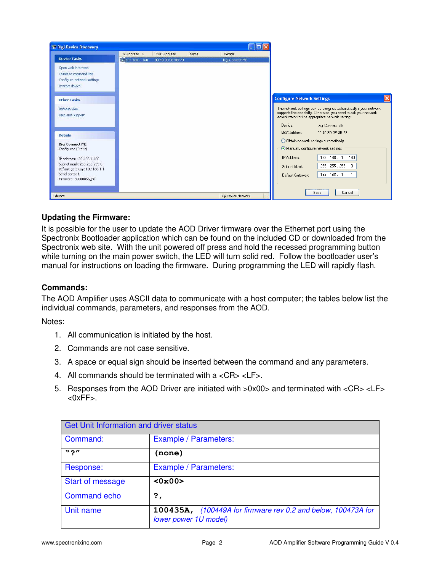

# **Updating the Firmware:**

It is possible for the user to update the AOD Driver firmware over the Ethernet port using the Spectronix Bootloader application which can be found on the included CD or downloaded from the Spectronix web site. With the unit powered off press and hold the recessed programming button while turning on the main power switch, the LED will turn solid red. Follow the bootloader user's manual for instructions on loading the firmware. During programming the LED will rapidly flash.

## **Commands:**

The AOD Amplifier uses ASCII data to communicate with a host computer; the tables below list the individual commands, parameters, and responses from the AOD.

Notes:

- 1. All communication is initiated by the host.
- 2. Commands are not case sensitive.
- 3. A space or equal sign should be inserted between the command and any parameters.
- 4. All commands should be terminated with a <CR> <LF>.
- 5. Responses from the AOD Driver are initiated with >0x00> and terminated with <CR> <LF>  $<0xFF$ .

| <b>Get Unit Information and driver status</b> |                                                                                        |
|-----------------------------------------------|----------------------------------------------------------------------------------------|
| Command:                                      | Example / Parameters:                                                                  |
| $\mathbf{v}$ $\mathbf{v}$                     | (none)                                                                                 |
| Response:                                     | Example / Parameters:                                                                  |
| <b>Start of message</b>                       | <0x00>                                                                                 |
| <b>Command echo</b>                           | ?,                                                                                     |
| Unit name                                     | 100435A, (100449A for firmware rev 0.2 and below, 100473A for<br>lower power 1U model) |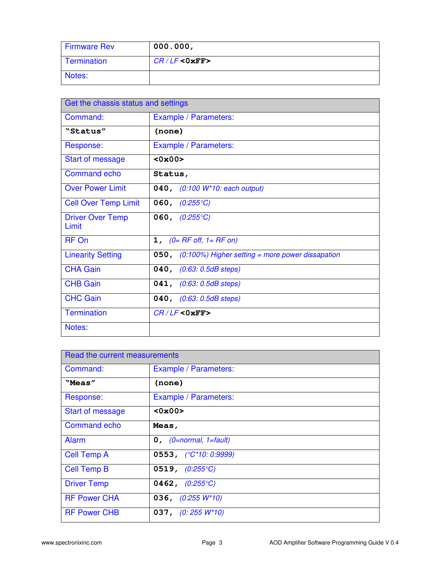| <b>Firmware Rev</b> | 000.000,        |
|---------------------|-----------------|
| Termination         | $CR/LF <0$ xFF> |
| Notes:              |                 |

| Get the chassis status and settings |                                                              |
|-------------------------------------|--------------------------------------------------------------|
| Command:                            | Example / Parameters:                                        |
| "Status"                            | (none)                                                       |
| Response:                           | Example / Parameters:                                        |
| Start of message                    | <0x00>                                                       |
| <b>Command echo</b>                 | Status,                                                      |
| <b>Over Power Limit</b>             | 040, (0:100 W*10: each output)                               |
| <b>Cell Over Temp Limit</b>         | 060, $(0.255^{\circ}C)$                                      |
| <b>Driver Over Temp</b><br>Limit    | 060, $(0.255^{\circ}C)$                                      |
| RF On                               | <b>1,</b> $(0=$ RF off, $1=$ RF on)                          |
| <b>Linearity Setting</b>            | <b>050,</b> (0:100%) Higher setting = more power dissapation |
| <b>CHA Gain</b>                     | 040, (0:63: 0.5dB steps)                                     |
| <b>CHB Gain</b>                     | 041, (0:63: 0.5dB steps)                                     |
| <b>CHC Gain</b>                     | 040, (0:63: 0.5dB steps)                                     |
| <b>Termination</b>                  | $CR/LF <0$ xFF>                                              |
| Notes:                              |                                                              |

| Read the current measurements |                                |
|-------------------------------|--------------------------------|
| Command:                      | Example / Parameters:          |
| "Meas"                        | (none)                         |
| Response:                     | Example / Parameters:          |
| <b>Start of message</b>       | <0x00>                         |
| <b>Command echo</b>           | Meas,                          |
| <b>Alarm</b>                  | $0,$ (0=normal, 1=fault)       |
| <b>Cell Temp A</b>            | 0553, $(^{\circ}C^*10:0:9999)$ |
| <b>Cell Temp B</b>            | 0519, $(0.255^{\circ}C)$       |
| <b>Driver Temp</b>            | 0462, $(0.255^{\circ}C)$       |
| <b>RF Power CHA</b>           | 036, $(0:255 W^*10)$           |
| <b>RF Power CHB</b>           | 037, $(0:255 W^*10)$           |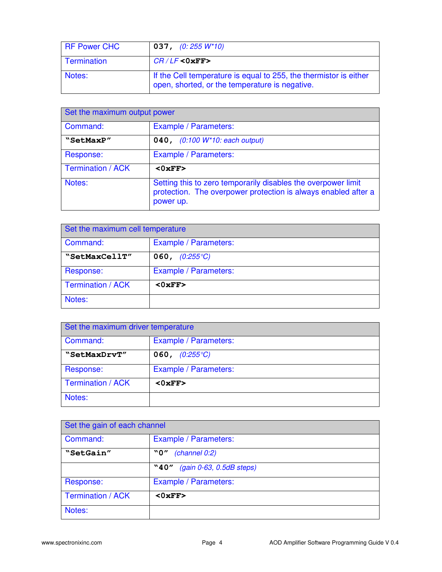| <b>RF Power CHC</b> | <b>037,</b> (0:255 W*10)                                                                                            |
|---------------------|---------------------------------------------------------------------------------------------------------------------|
| Termination         | $CR/LF <0$ xFF>                                                                                                     |
| Notes:              | If the Cell temperature is equal to 255, the thermistor is either<br>open, shorted, or the temperature is negative. |

| Set the maximum output power |                                                                                                                                              |
|------------------------------|----------------------------------------------------------------------------------------------------------------------------------------------|
| Command:                     | Example / Parameters:                                                                                                                        |
| "SetMaxP"                    | 040, (0:100 W*10: each output)                                                                                                               |
| Response:                    | Example / Parameters:                                                                                                                        |
| <b>Termination / ACK</b>     | <0xFF                                                                                                                                        |
| Notes:                       | Setting this to zero temporarily disables the overpower limit<br>protection. The overpower protection is always enabled after a<br>power up. |

| Set the maximum cell temperature |                         |
|----------------------------------|-------------------------|
| Command:                         | Example / Parameters:   |
| "SetMaxCellT"                    | 060, $(0:255^{\circ}C)$ |
| Response:                        | Example / Parameters:   |
| Termination / ACK                | <0xFF                   |
| Notes:                           |                         |

| Set the maximum driver temperature |                         |
|------------------------------------|-------------------------|
| Command:                           | Example / Parameters:   |
| "SetMaxDrvT"                       | 060, $(0:255^{\circ}C)$ |
| Response:                          | Example / Parameters:   |
| Termination / ACK                  | $<0$ xFF $>$            |
| Notes:                             |                         |

| Set the gain of each channel |                                     |
|------------------------------|-------------------------------------|
| Command:                     | Example / Parameters:               |
| "SetGain"                    | (charnel 0:2)<br>"0"                |
|                              | $(gain 0-63, 0.5dB steps)$<br>``40" |
| Response:                    | Example / Parameters:               |
| Termination / ACK            | $<0$ xFF>                           |
| Notes:                       |                                     |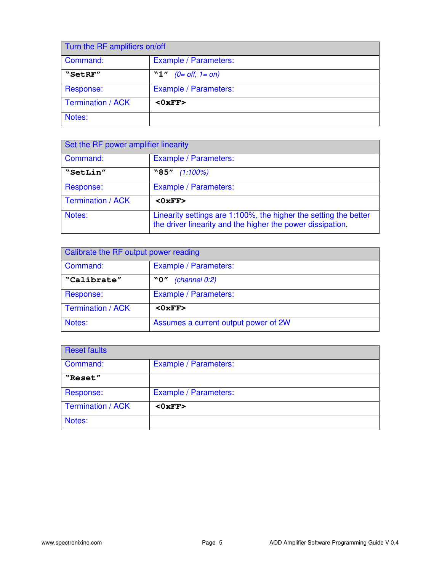| Turn the RF amplifiers on/off |                            |
|-------------------------------|----------------------------|
| Command:                      | Example / Parameters:      |
| "SetRF"                       | $(0=$ off, $1=$ on)<br>"1" |
| Response:                     | Example / Parameters:      |
| <b>Termination / ACK</b>      | <0xFF                      |
| Notes:                        |                            |

| Set the RF power amplifier linearity |                                                                                                                                |
|--------------------------------------|--------------------------------------------------------------------------------------------------------------------------------|
| Command:                             | Example / Parameters:                                                                                                          |
| "SetLin"                             | $``85"$ (1:100%)                                                                                                               |
| Response:                            | Example / Parameters:                                                                                                          |
| <b>Termination / ACK</b>             | $<0$ xFF>                                                                                                                      |
| Notes:                               | Linearity settings are 1:100%, the higher the setting the better<br>the driver linearity and the higher the power dissipation. |

| Calibrate the RF output power reading |                                      |
|---------------------------------------|--------------------------------------|
| Command:                              | Example / Parameters:                |
| "Calibrate"                           | (charnel 0:2)<br>"0"                 |
| Response:                             | Example / Parameters:                |
| Termination / ACK                     | $<0$ xFF>                            |
| Notes:                                | Assumes a current output power of 2W |

| <b>Reset faults</b> |                       |
|---------------------|-----------------------|
| Command:            | Example / Parameters: |
| "Reset"             |                       |
| Response:           | Example / Parameters: |
| Termination / ACK   | <0xFF                 |
| Notes:              |                       |